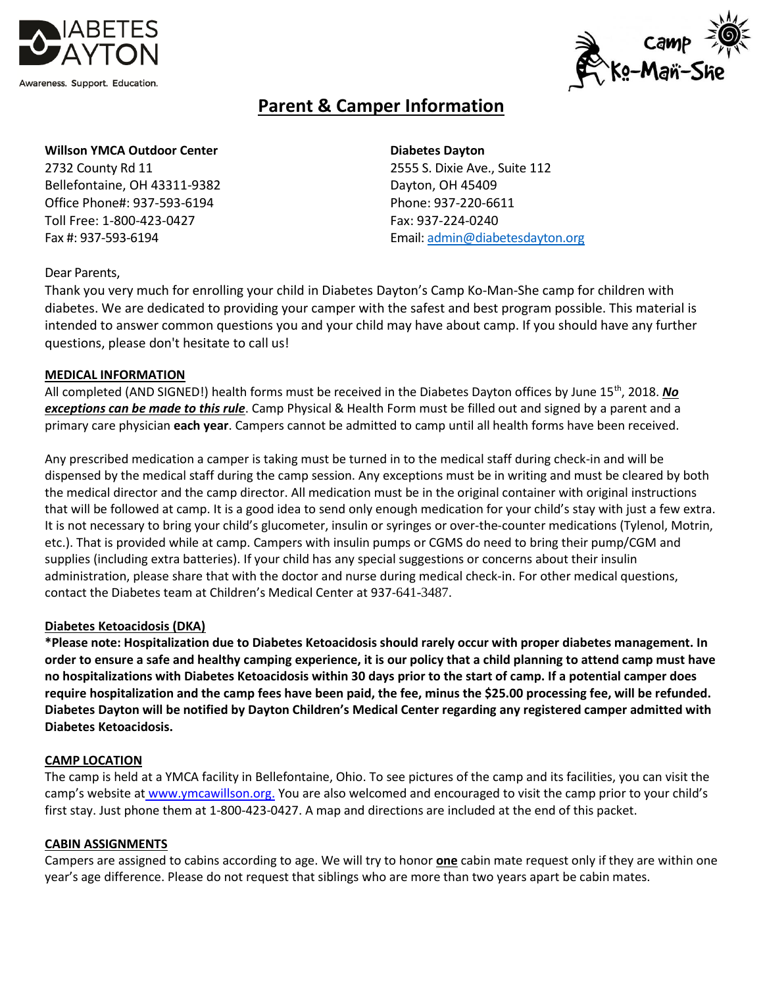

Awareness. Support. Education.



# **Parent & Camper Information**

#### **Willson YMCA Outdoor Center Diabetes Dayton**

2732 County Rd 11 2555 S. Dixie Ave., Suite 112 Bellefontaine, OH 43311-9382 Dayton, OH 45409 Office Phone#: 937-593-6194 Phone: 937-220-6611 Toll Free: 1-800-423-0427 Fax: 937-224-0240

Fax #: 937-593-6194 [Email: admin@diabetesdayton.org](mailto:Email:%20admin@diabetesdayton.org)

#### Dear Parents,

Thank you very much for enrolling your child in Diabetes Dayton's Camp Ko-Man-She camp for children with diabetes. We are dedicated to providing your camper with the safest and best program possible. This material is intended to answer common questions you and your child may have about camp. If you should have any further questions, please don't hesitate to call us!

#### **MEDICAL INFORMATION**

All completed (AND SIGNED!) health forms must be received in the Diabetes Dayton offices by June 15th, 2018. *No exceptions can be made to this rule*. Camp Physical & Health Form must be filled out and signed by a parent and a primary care physician **each year**. Campers cannot be admitted to camp until all health forms have been received.

Any prescribed medication a camper is taking must be turned in to the medical staff during check-in and will be dispensed by the medical staff during the camp session. Any exceptions must be in writing and must be cleared by both the medical director and the camp director. All medication must be in the original container with original instructions that will be followed at camp. It is a good idea to send only enough medication for your child's stay with just a few extra. It is not necessary to bring your child's glucometer, insulin or syringes or over-the-counter medications (Tylenol, Motrin, etc.). That is provided while at camp. Campers with insulin pumps or CGMS do need to bring their pump/CGM and supplies (including extra batteries). If your child has any special suggestions or concerns about their insulin administration, please share that with the doctor and nurse during medical check-in. For other medical questions, contact the Diabetes team at Children's Medical Center at 937-641-3487.

### **Diabetes Ketoacidosis (DKA)**

**\*Please note: Hospitalization due to Diabetes Ketoacidosis should rarely occur with proper diabetes management. In order to ensure a safe and healthy camping experience, it is our policy that a child planning to attend camp must have no hospitalizations with Diabetes Ketoacidosis within 30 days prior to the start of camp. If a potential camper does require hospitalization and the camp fees have been paid, the fee, minus the \$25.00 processing fee, will be refunded. Diabetes Dayton will be notified by Dayton Children's Medical Center regarding any registered camper admitted with Diabetes Ketoacidosis.**

#### **CAMP LOCATION**

The camp is held at a YMCA facility in Bellefontaine, Ohio. To see pictures of the camp and its facilities, you can visit the camp's website at [www.ymcawillson.org.](http://www.ymcawillson.org/) You are also welcomed and encouraged to visit the camp prior to your child's first stay. Just phone them at 1-800-423-0427. A map and directions are included at the end of this packet.

#### **CABIN ASSIGNMENTS**

Campers are assigned to cabins according to age. We will try to honor **one** cabin mate request only if they are within one year's age difference. Please do not request that siblings who are more than two years apart be cabin mates.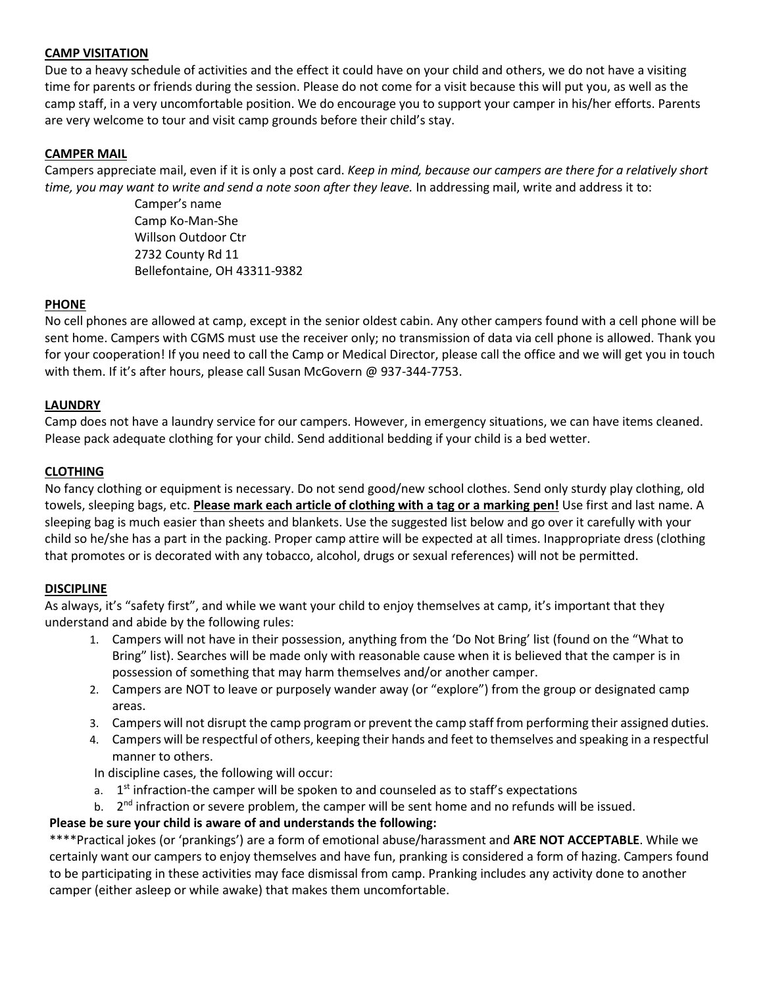### **CAMP VISITATION**

Due to a heavy schedule of activities and the effect it could have on your child and others, we do not have a visiting time for parents or friends during the session. Please do not come for a visit because this will put you, as well as the camp staff, in a very uncomfortable position. We do encourage you to support your camper in his/her efforts. Parents are very welcome to tour and visit camp grounds before their child's stay.

# **CAMPER MAIL**

Campers appreciate mail, even if it is only a post card. *Keep in mind, because our campers are there for a relatively short time, you may want to write and send a note soon after they leave.* In addressing mail, write and address it to:

> Camper's name Camp Ko-Man-She Willson Outdoor Ctr 2732 County Rd 11 Bellefontaine, OH 43311-9382

### **PHONE**

No cell phones are allowed at camp, except in the senior oldest cabin. Any other campers found with a cell phone will be sent home. Campers with CGMS must use the receiver only; no transmission of data via cell phone is allowed. Thank you for your cooperation! If you need to call the Camp or Medical Director, please call the office and we will get you in touch with them. If it's after hours, please call Susan McGovern @ 937-344-7753.

### **LAUNDRY**

Camp does not have a laundry service for our campers. However, in emergency situations, we can have items cleaned. Please pack adequate clothing for your child. Send additional bedding if your child is a bed wetter.

# **CLOTHING**

No fancy clothing or equipment is necessary. Do not send good/new school clothes. Send only sturdy play clothing, old towels, sleeping bags, etc. **Please mark each article of clothing with a tag or a marking pen!** Use first and last name. A sleeping bag is much easier than sheets and blankets. Use the suggested list below and go over it carefully with your child so he/she has a part in the packing. Proper camp attire will be expected at all times. Inappropriate dress (clothing that promotes or is decorated with any tobacco, alcohol, drugs or sexual references) will not be permitted.

### **DISCIPLINE**

As always, it's "safety first", and while we want your child to enjoy themselves at camp, it's important that they understand and abide by the following rules:

- 1. Campers will not have in their possession, anything from the 'Do Not Bring' list (found on the "What to Bring" list). Searches will be made only with reasonable cause when it is believed that the camper is in possession of something that may harm themselves and/or another camper.
- 2. Campers are NOT to leave or purposely wander away (or "explore") from the group or designated camp areas.
- 3. Campers will not disrupt the camp program or prevent the camp staff from performing their assigned duties.
- 4. Campers will be respectful of others, keeping their hands and feet to themselves and speaking in a respectful manner to others.

In discipline cases, the following will occur:

- a. 1<sup>st</sup> infraction-the camper will be spoken to and counseled as to staff's expectations
- b. 2<sup>nd</sup> infraction or severe problem, the camper will be sent home and no refunds will be issued.

# **Please be sure your child is aware of and understands the following:**

\*\*\*\*Practical jokes (or 'prankings') are a form of emotional abuse/harassment and **ARE NOT ACCEPTABLE**. While we certainly want our campers to enjoy themselves and have fun, pranking is considered a form of hazing. Campers found to be participating in these activities may face dismissal from camp. Pranking includes any activity done to another camper (either asleep or while awake) that makes them uncomfortable.